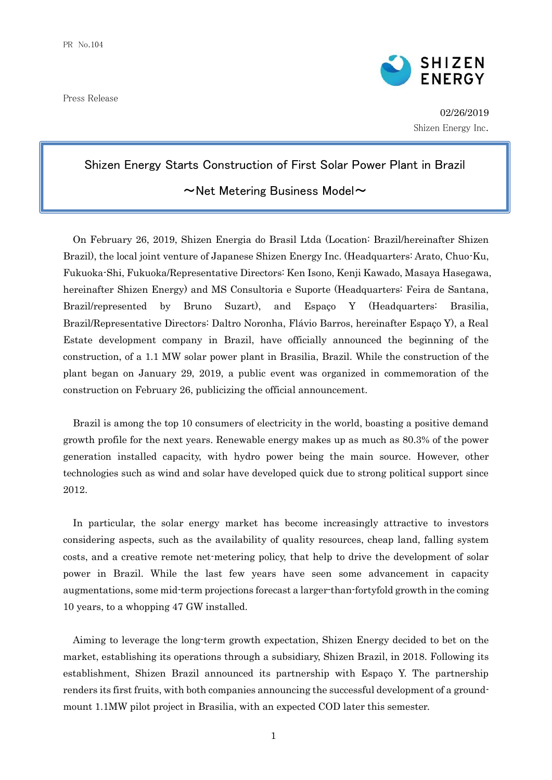Press Release



02/26/2019 Shizen Energy Inc.

## Shizen Energy Starts Construction of First Solar Power Plant in Brazil

## $\sim$ Net Metering Business Model $\sim$

On February 26, 2019, Shizen Energia do Brasil Ltda (Location: Brazil/hereinafter Shizen Brazil), the local joint venture of Japanese Shizen Energy Inc. (Headquarters: Arato, Chuo-Ku, Fukuoka-Shi, Fukuoka/Representative Directors: Ken Isono, Kenji Kawado, Masaya Hasegawa, hereinafter Shizen Energy) and MS Consultoria e Suporte (Headquarters: Feira de Santana, Brazil/represented by Bruno Suzart), and Espaço Y (Headquarters: Brasilia, Brazil/Representative Directors: Daltro Noronha, Flávio Barros, hereinafter Espaço Y), a Real Estate development company in Brazil, have officially announced the beginning of the construction, of a 1.1 MW solar power plant in Brasilia, Brazil. While the construction of the plant began on January 29, 2019, a public event was organized in commemoration of the construction on February 26, publicizing the official announcement.

Brazil is among the top 10 consumers of electricity in the world, boasting a positive demand growth profile for the next years. Renewable energy makes up as much as 80.3% of the power generation installed capacity, with hydro power being the main source. However, other technologies such as wind and solar have developed quick due to strong political support since 2012.

In particular, the solar energy market has become increasingly attractive to investors considering aspects, such as the availability of quality resources, cheap land, falling system costs, and a creative remote net-metering policy, that help to drive the development of solar power in Brazil. While the last few years have seen some advancement in capacity augmentations, some mid-term projections forecast a larger-than-fortyfold growth in the coming 10 years, to a whopping 47 GW installed.

Aiming to leverage the long-term growth expectation, Shizen Energy decided to bet on the market, establishing its operations through a subsidiary, Shizen Brazil, in 2018. Following its establishment, Shizen Brazil announced its partnership with Espaço Y. The partnership renders its first fruits, with both companies announcing the successful development of a groundmount 1.1MW pilot project in Brasilia, with an expected COD later this semester.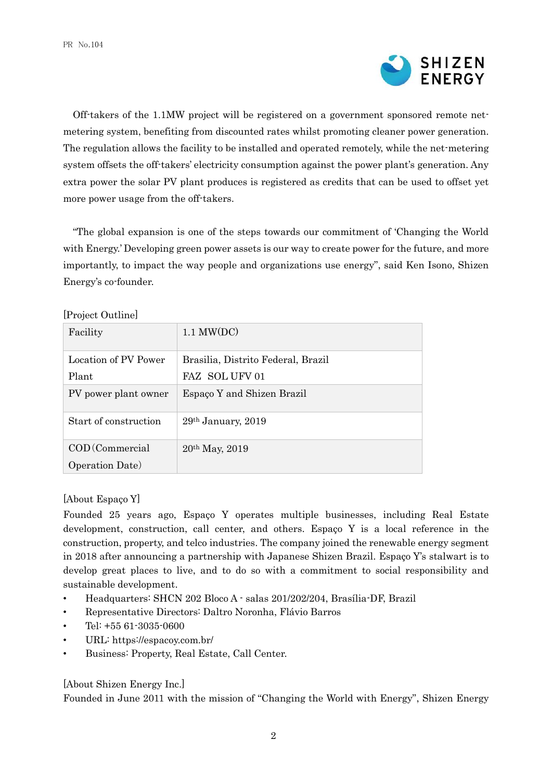

Off-takers of the 1.1MW project will be registered on a government sponsored remote netmetering system, benefiting from discounted rates whilst promoting cleaner power generation. The regulation allows the facility to be installed and operated remotely, while the net-metering system offsets the off-takers' electricity consumption against the power plant's generation. Any extra power the solar PV plant produces is registered as credits that can be used to offset yet more power usage from the off-takers.

"The global expansion is one of the steps towards our commitment of 'Changing the World with Energy.' Developing green power assets is our way to create power for the future, and more importantly, to impact the way people and organizations use energy", said Ken Isono, Shizen Energy's co-founder.

| $\mu$ role of a change     |                                    |
|----------------------------|------------------------------------|
| Facility                   | $1.1$ MW(DC)                       |
| Location of PV Power       | Brasilia, Distrito Federal, Brazil |
| Plant                      | FAZ SOL UFV 01                     |
| PV power plant owner       | Espaço Y and Shizen Brazil         |
| Start of construction      | $29th$ January, $2019$             |
| $\mathrm{COD}$ (Commercial | $20th$ May, $2019$                 |
| Operation Date)            |                                    |

[Project Outline]

## [About Espaço Y]

Founded 25 years ago, Espaço Y operates multiple businesses, including Real Estate development, construction, call center, and others. Espaço Y is a local reference in the construction, property, and telco industries. The company joined the renewable energy segment in 2018 after announcing a partnership with Japanese Shizen Brazil. Espaço Y's stalwart is to develop great places to live, and to do so with a commitment to social responsibility and sustainable development.

- Headquarters: SHCN 202 Bloco A salas 201/202/204, Brasília-DF, Brazil
- Representative Directors: Daltro Noronha, Flávio Barros
- Tel: +55 61-3035-0600
- URL: https://espacoy.com.br/
- Business: Property, Real Estate, Call Center.

## [About Shizen Energy Inc.]

Founded in June 2011 with the mission of "Changing the World with Energy", Shizen Energy